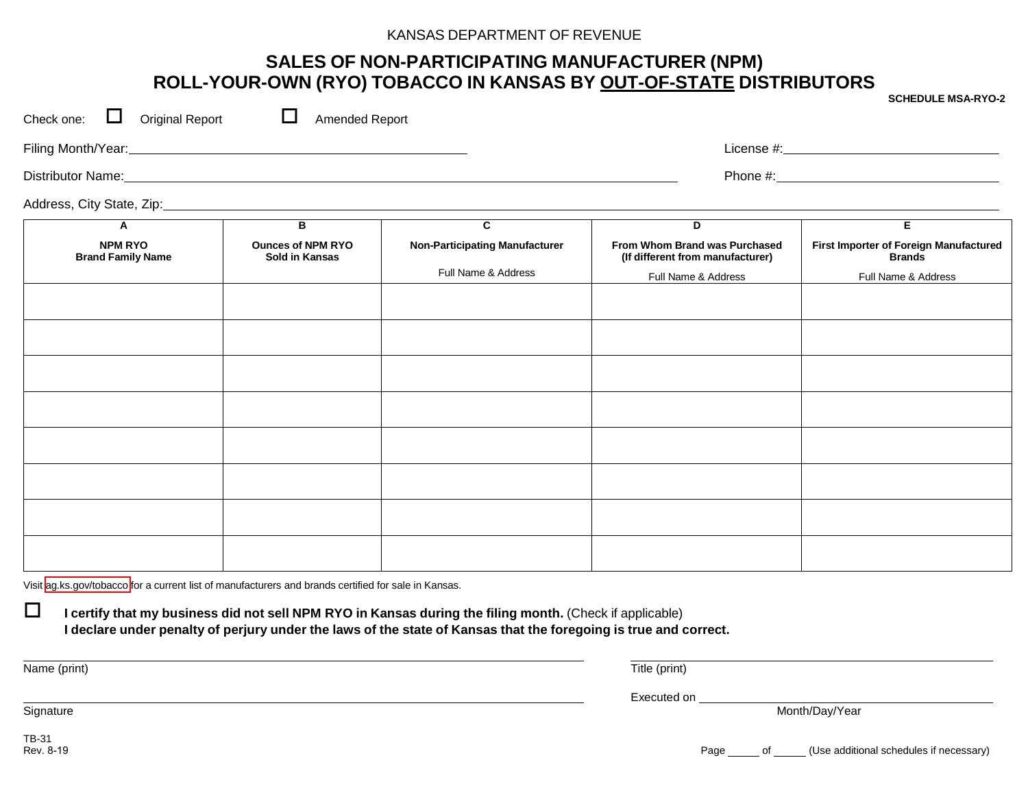#### KANSAS DEPARTMENT OF REVENUE

## **SALES OF NON-PARTICIPATING MANUFACTURER (NPM) ROLL-YOUR-OWN (RYO) TOBACCO IN KANSAS BY OUT-OF-STATE DISTRIBUTORS**

Check one:  $\Box$  Original Report  $\Box$  Amended Report Filing Month/Year: License #: Distributor Name: Phone #: Address, City State, Zip: **A NPM RYO Brand Family Name B Ounces of NPM RYO Sold in Kansas C Non-Participating Manufacturer** Full Name & Address **D From Whom Brand was Purchased (If different from manufacturer)** Full Name & Address **E First Importer of Foreign Manufactured Brands** Full Name & Address

Visit [ag.ks.gov/tobacco](http://ag.ks.gov/licensing/tobacco-enforcement) for a current list of manufacturers and brands certified for sale in Kansas.

 **I certify that my business did not sell NPM RYO in Kansas during the filing month.** (Check if applicable) I declare under penalty of perjury under the laws of the state of Kansas that the foregoing is true and correct.

Name (print) Title (print)

Executed on

Month/Day/Year

**Signature** 

TB-31<br>Rev. 8-19

Page of (Use additional schedules if necessary)

**SCHEDULE MSA-RYO-2**